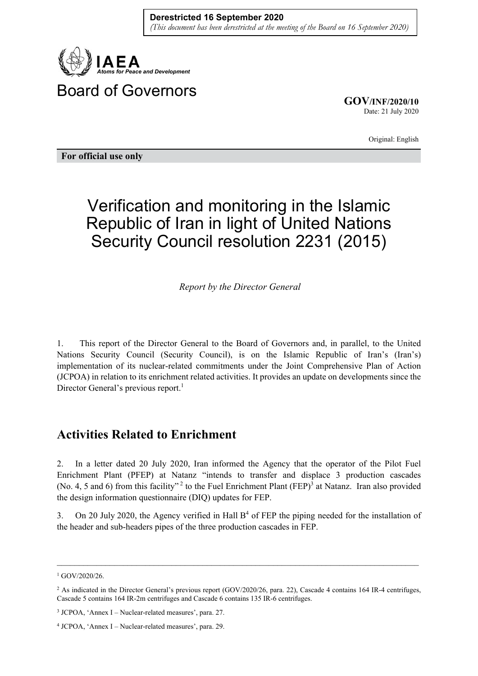

**GOV/INF/2020/10** Date: 21 July 2020

Original: English

**For official use only** 

## Verification and monitoring in the Islamic Republic of Iran in light of United Nations Security Council resolution 2231 (2015)

*Report by the Director General* 

1. This report of the Director General to the Board of Governors and, in parallel, to the United Nations Security Council (Security Council), is on the Islamic Republic of Iran's (Iran's) implementation of its nuclear-related commitments under the Joint Comprehensive Plan of Action (JCPOA) in relation to its enrichment related activities. It provides an update on developments since the Director General's previous report.<sup>1</sup>

## **Activities Related to Enrichment**

2. In a letter dated 20 July 2020, Iran informed the Agency that the operator of the Pilot Fuel Enrichment Plant (PFEP) at Natanz "intends to transfer and displace 3 production cascades (No. 4, 5 and 6) from this facility"<sup>2</sup> to the Fuel Enrichment Plant (FEP)<sup>3</sup> at Natanz. Iran also provided the design information questionnaire (DIQ) updates for FEP.

3. On 20 July 2020, the Agency verified in Hall  $B<sup>4</sup>$  of FEP the piping needed for the installation of the header and sub-headers pipes of the three production cascades in FEP.

 $\mathcal{L}_\mathcal{L} = \{ \mathcal{L}_\mathcal{L} = \{ \mathcal{L}_\mathcal{L} = \{ \mathcal{L}_\mathcal{L} = \{ \mathcal{L}_\mathcal{L} = \{ \mathcal{L}_\mathcal{L} = \{ \mathcal{L}_\mathcal{L} = \{ \mathcal{L}_\mathcal{L} = \{ \mathcal{L}_\mathcal{L} = \{ \mathcal{L}_\mathcal{L} = \{ \mathcal{L}_\mathcal{L} = \{ \mathcal{L}_\mathcal{L} = \{ \mathcal{L}_\mathcal{L} = \{ \mathcal{L}_\mathcal{L} = \{ \mathcal{L}_\mathcal{$ 

<sup>&</sup>lt;sup>1</sup> GOV/2020/26.

<sup>&</sup>lt;sup>2</sup> As indicated in the Director General's previous report (GOV/2020/26, para. 22), Cascade 4 contains 164 IR-4 centrifuges, Cascade 5 contains 164 IR-2m centrifuges and Cascade 6 contains 135 IR-6 centrifuges.

 $3$  JCPOA, 'Annex I – Nuclear-related measures', para. 27.

<sup>4</sup> JCPOA, 'Annex I – Nuclear-related measures', para. 29.